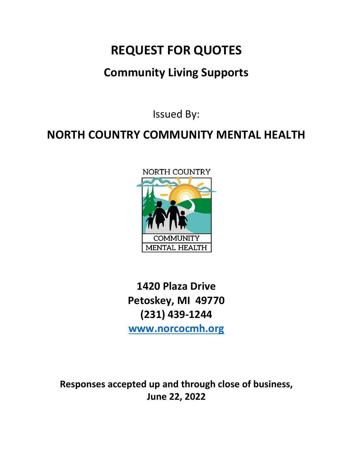# **REQUEST FOR QUOTES**

## **Community Living Supports**

Issued By:

## **NORTH COUNTRY COMMUNITY MENTAL HEALTH**



**1420 Plaza Drive Petoskey, MI 49770 (231) 439-1244 [www.norcocmh.org](http://www.norcocmh.org/)**

**Responses accepted up and through close of business, June 22, 2022**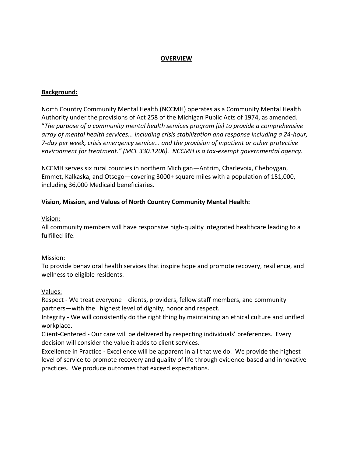#### **OVERVIEW**

#### **Background:**

North Country Community Mental Health (NCCMH) operates as a Community Mental Health Authority under the provisions of Act 258 of the Michigan Public Acts of 1974, as amended. "*The purpose of a community mental health services program [is] to provide a comprehensive array of mental health services... including crisis stabilization and response including a 24-hour, 7-day per week, crisis emergency service... and the provision of inpatient or other protective environment for treatment." (MCL 330.1206). NCCMH is a tax-exempt governmental agency.*

NCCMH serves six rural counties in northern Michigan—Antrim, Charlevoix, Cheboygan, Emmet, Kalkaska, and Otsego—covering 3000+ square miles with a population of 151,000, including 36,000 Medicaid beneficiaries.

#### **Vision, Mission, and Values of North Country Community Mental Health:**

#### Vision:

All community members will have responsive high-quality integrated healthcare leading to a fulfilled life.

#### Mission:

To provide behavioral health services that inspire hope and promote recovery, resilience, and wellness to eligible residents.

#### Values:

Respect - We treat everyone—clients, providers, fellow staff members, and community partners—with the highest level of dignity, honor and respect.

Integrity - We will consistently do the right thing by maintaining an ethical culture and unified workplace.

Client-Centered - Our care will be delivered by respecting individuals' preferences. Every decision will consider the value it adds to client services.

Excellence in Practice - Excellence will be apparent in all that we do. We provide the highest level of service to promote recovery and quality of life through evidence-based and innovative practices. We produce outcomes that exceed expectations.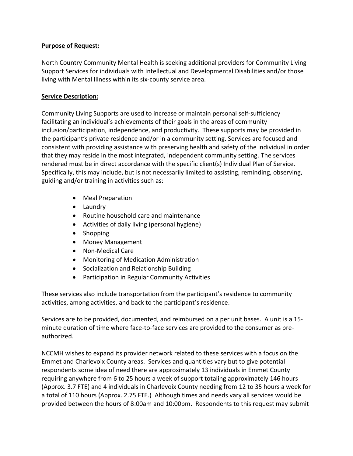### **Purpose of Request:**

North Country Community Mental Health is seeking additional providers for Community Living Support Services for individuals with Intellectual and Developmental Disabilities and/or those living with Mental Illness within its six-county service area.

### **Service Description:**

Community Living Supports are used to increase or maintain personal self-sufficiency facilitating an individual's achievements of their goals in the areas of community inclusion/participation, independence, and productivity. These supports may be provided in the participant's private residence and/or in a community setting. Services are focused and consistent with providing assistance with preserving health and safety of the individual in order that they may reside in the most integrated, independent community setting. The services rendered must be in direct accordance with the specific client(s) Individual Plan of Service. Specifically, this may include, but is not necessarily limited to assisting, reminding, observing, guiding and/or training in activities such as:

- Meal Preparation
- Laundry
- Routine household care and maintenance
- Activities of daily living (personal hygiene)
- Shopping
- Money Management
- Non-Medical Care
- Monitoring of Medication Administration
- Socialization and Relationship Building
- Participation in Regular Community Activities

These services also include transportation from the participant's residence to community activities, among activities, and back to the participant's residence.

Services are to be provided, documented, and reimbursed on a per unit bases. A unit is a 15 minute duration of time where face-to-face services are provided to the consumer as preauthorized.

NCCMH wishes to expand its provider network related to these services with a focus on the Emmet and Charlevoix County areas. Services and quantities vary but to give potential respondents some idea of need there are approximately 13 individuals in Emmet County requiring anywhere from 6 to 25 hours a week of support totaling approximately 146 hours (Approx. 3.7 FTE) and 4 individuals in Charlevoix County needing from 12 to 35 hours a week for a total of 110 hours (Approx. 2.75 FTE.) Although times and needs vary all services would be provided between the hours of 8:00am and 10:00pm. Respondents to this request may submit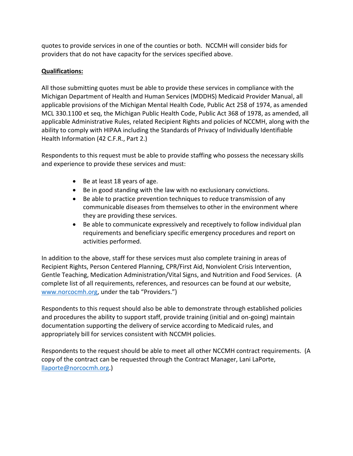quotes to provide services in one of the counties or both. NCCMH will consider bids for providers that do not have capacity for the services specified above.

## **Qualifications:**

All those submitting quotes must be able to provide these services in compliance with the Michigan Department of Health and Human Services (MDDHS) Medicaid Provider Manual, all applicable provisions of the Michigan Mental Health Code, Public Act 258 of 1974, as amended MCL 330.1100 et seq, the Michigan Public Health Code, Public Act 368 of 1978, as amended, all applicable Administrative Rules, related Recipient Rights and policies of NCCMH, along with the ability to comply with HIPAA including the Standards of Privacy of Individually Identifiable Health Information (42 C.F.R., Part 2.)

Respondents to this request must be able to provide staffing who possess the necessary skills and experience to provide these services and must:

- Be at least 18 years of age.
- Be in good standing with the law with no exclusionary convictions.
- Be able to practice prevention techniques to reduce transmission of any communicable diseases from themselves to other in the environment where they are providing these services.
- Be able to communicate expressively and receptively to follow individual plan requirements and beneficiary specific emergency procedures and report on activities performed.

In addition to the above, staff for these services must also complete training in areas of Recipient Rights, Person Centered Planning, CPR/First Aid, Nonviolent Crisis Intervention, Gentle Teaching, Medication Administration/Vital Signs, and Nutrition and Food Services. (A complete list of all requirements, references, and resources can be found at our website, [www.norcocmh.org](http://www.norcocmh.org/), under the tab "Providers.")

Respondents to this request should also be able to demonstrate through established policies and procedures the ability to support staff, provide training (initial and on-going) maintain documentation supporting the delivery of service according to Medicaid rules, and appropriately bill for services consistent with NCCMH policies.

Respondents to the request should be able to meet all other NCCMH contract requirements. (A copy of the contract can be requested through the Contract Manager, Lani LaPorte, [llaporte@norcocmh.org.](mailto:llaporte@norcocmh.org))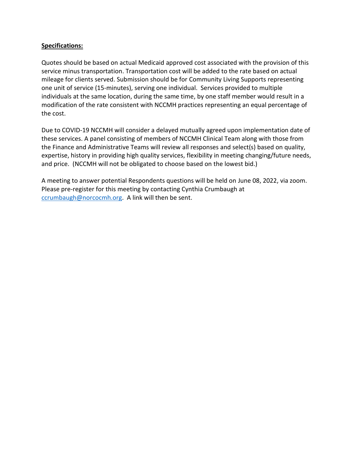#### **Specifications:**

Quotes should be based on actual Medicaid approved cost associated with the provision of this service minus transportation. Transportation cost will be added to the rate based on actual mileage for clients served. Submission should be for Community Living Supports representing one unit of service (15-minutes), serving one individual. Services provided to multiple individuals at the same location, during the same time, by one staff member would result in a modification of the rate consistent with NCCMH practices representing an equal percentage of the cost.

Due to COVID-19 NCCMH will consider a delayed mutually agreed upon implementation date of these services. A panel consisting of members of NCCMH Clinical Team along with those from the Finance and Administrative Teams will review all responses and select(s) based on quality, expertise, history in providing high quality services, flexibility in meeting changing/future needs, and price. (NCCMH will not be obligated to choose based on the lowest bid.)

A meeting to answer potential Respondents questions will be held on June 08, 2022, via zoom. Please pre-register for this meeting by contacting Cynthia Crumbaugh at [ccrumbaugh@norcocmh.org.](mailto:ccrumbaugh@norcocmh.org) A link will then be sent.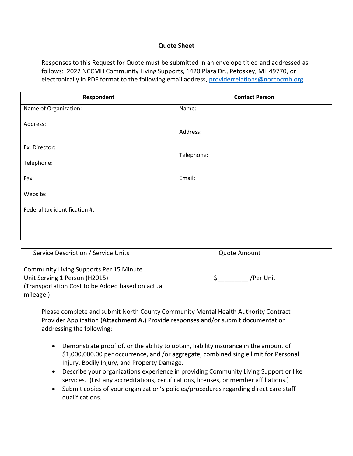#### **Quote Sheet**

Responses to this Request for Quote must be submitted in an envelope titled and addressed as follows: 2022 NCCMH Community Living Supports, 1420 Plaza Dr., Petoskey, MI 49770, or electronically in PDF format to the following email address, [providerrelations@norcocmh.org.](mailto:providerrelations@norcocmh.org)

| Respondent                    | <b>Contact Person</b> |  |  |
|-------------------------------|-----------------------|--|--|
| Name of Organization:         | Name:                 |  |  |
| Address:                      | Address:              |  |  |
| Ex. Director:                 |                       |  |  |
| Telephone:                    | Telephone:            |  |  |
| Fax:                          | Email:                |  |  |
| Website:                      |                       |  |  |
| Federal tax identification #: |                       |  |  |
|                               |                       |  |  |
|                               |                       |  |  |

| Service Description / Service Units                                                                                                              | <b>Quote Amount</b> |  |
|--------------------------------------------------------------------------------------------------------------------------------------------------|---------------------|--|
| <b>Community Living Supports Per 15 Minute</b><br>Unit Serving 1 Person (H2015)<br>(Transportation Cost to be Added based on actual<br>mileage.) | /Per Unit           |  |

Please complete and submit North County Community Mental Health Authority Contract Provider Application (**Attachment A.**) Provide responses and/or submit documentation addressing the following:

- Demonstrate proof of, or the ability to obtain, liability insurance in the amount of \$1,000,000.00 per occurrence, and /or aggregate, combined single limit for Personal Injury, Bodily Injury, and Property Damage.
- Describe your organizations experience in providing Community Living Support or like services. (List any accreditations, certifications, licenses, or member affiliations.)
- Submit copies of your organization's policies/procedures regarding direct care staff qualifications.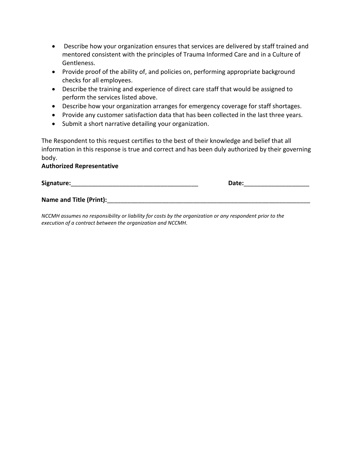- Describe how your organization ensures that services are delivered by staff trained and mentored consistent with the principles of Trauma Informed Care and in a Culture of Gentleness.
- Provide proof of the ability of, and policies on, performing appropriate background checks for all employees.
- Describe the training and experience of direct care staff that would be assigned to perform the services listed above.
- Describe how your organization arranges for emergency coverage for staff shortages.
- Provide any customer satisfaction data that has been collected in the last three years.
- Submit a short narrative detailing your organization.

The Respondent to this request certifies to the best of their knowledge and belief that all information in this response is true and correct and has been duly authorized by their governing body.

#### **Authorized Representative**

| Signature:              | Date: |  |  |
|-------------------------|-------|--|--|
| Name and Title (Print): |       |  |  |

*NCCMH assumes no responsibility or liability for costs by the organization or any respondent prior to the execution of a contract between the organization and NCCMH.*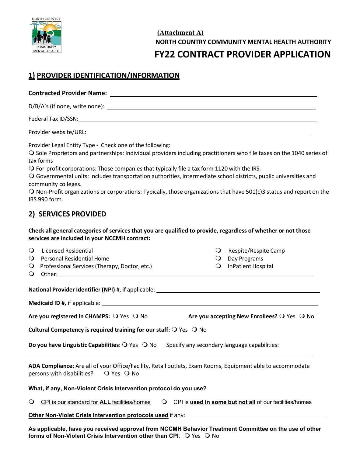

**(Attachment A) NORTH COUNTRY COMMUNITY MENTAL HEALTH AUTHORITY FY22 CONTRACT PROVIDER APPLICATION**

## **1) PROVIDER IDENTIFICATION/INFORMATION**

#### **Contracted Provider Name:**

D/B/A's (if none, write none): \_

Federal Tax ID/SSN:

Provider website/URL:

Provider Legal Entity Type - Check one of the following:

 Sole Proprietors and partnerships: Individual providers including practitioners who file taxes on the 1040 series of tax forms

 $\bigcirc$  For-profit corporations: Those companies that typically file a tax form 1120 with the IRS.

 Governmental units: Includes transportation authorities, intermediate school districts, public universities and community colleges.

 $\bigcirc$  Non-Profit organizations or corporations: Typically, those organizations that have 501(c)3 status and report on the IRS 990 form.

## **2) SERVICES PROVIDED**

**Check all general categories of services that you are qualified to provide, regardless of whether or not those services are included in your NCCMH contract:**

| $\Omega$ | Licensed Residential |  |
|----------|----------------------|--|
|----------|----------------------|--|

- **O** Personal Residential Home **Day Programs Day Programs**
- Q Professional Services (Therapy, Doctor, etc.) C InPatient Hospital
- Other:

 $Q$  Respite/Respite Camp

- 
- 

**National Provider Identifier (NPI)** #, if applicable:

**Medicaid ID #,** if applicable:

Are you registered in CHAMPS:  $\bigcirc$  Yes  $\bigcirc$  No **Are you accepting New Enrollees?**  $\bigcirc$  Yes  $\bigcirc$  No

**Cultural Competency is required training for our staff: O Yes O No** 

**Do you have Linguistic Capabilities**:  $\bigcirc$  Yes  $\bigcirc$  No Specify any secondary language capabilities:

**ADA Compliance:** Are all of your Office/Facility, Retail outlets, Exam Rooms, Equipment able to accommodate persons with disabilities?  $\bigcirc$  Yes  $\bigcirc$  No

#### **What, if any, Non-Violent Crisis Intervention protocol do you use?**

CPI is our standard for **ALL** facilities/homes CPI is **used in some but not all** of our facilities/homes

**Other Non-Violet Crisis Intervention protocols used** if any:

**As applicable, have you received approval from NCCMH Behavior Treatment Committee on the use of other forms of Non-Violent Crisis Intervention other than CPI:**  $\bigcirc$  **Yes**  $\bigcirc$  **No**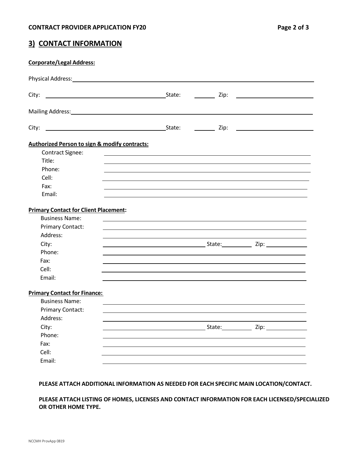## **3) CONTACT INFORMATION**

| <b>Corporate/Legal Address:</b>                                                                                                                                                                                                |                                                                                                                      |        |      |
|--------------------------------------------------------------------------------------------------------------------------------------------------------------------------------------------------------------------------------|----------------------------------------------------------------------------------------------------------------------|--------|------|
| Physical Address: No. 1996. The Contract of the Contract of the Contract of the Contract of the Contract of the Contract of the Contract of the Contract of the Contract of the Contract of the Contract of the Contract of th |                                                                                                                      |        |      |
|                                                                                                                                                                                                                                |                                                                                                                      |        |      |
| Mailing Address: 1988 Contract and the Mailing Address: 1988 Contract and the Mail September 2008 Contract and the Mail September 2008 Contract and the Mail September 2008 Contract and the Mail September 2008 Contract and  |                                                                                                                      |        |      |
| City:                                                                                                                                                                                                                          |                                                                                                                      |        |      |
| <b>Authorized Person to sign &amp; modify contracts:</b>                                                                                                                                                                       |                                                                                                                      |        |      |
| Contract Signee:                                                                                                                                                                                                               |                                                                                                                      |        |      |
| Title:                                                                                                                                                                                                                         |                                                                                                                      |        |      |
| Phone:                                                                                                                                                                                                                         |                                                                                                                      |        |      |
| Cell:                                                                                                                                                                                                                          |                                                                                                                      |        |      |
| Fax:                                                                                                                                                                                                                           |                                                                                                                      |        |      |
| Email:                                                                                                                                                                                                                         |                                                                                                                      |        |      |
| <b>Primary Contact for Client Placement:</b>                                                                                                                                                                                   |                                                                                                                      |        |      |
| <b>Business Name:</b>                                                                                                                                                                                                          |                                                                                                                      |        |      |
| <b>Primary Contact:</b>                                                                                                                                                                                                        |                                                                                                                      |        |      |
| Address:                                                                                                                                                                                                                       |                                                                                                                      |        |      |
| City:                                                                                                                                                                                                                          |                                                                                                                      |        |      |
| Phone:                                                                                                                                                                                                                         |                                                                                                                      |        |      |
| Fax:                                                                                                                                                                                                                           |                                                                                                                      |        |      |
| Cell:                                                                                                                                                                                                                          |                                                                                                                      |        |      |
| Email:                                                                                                                                                                                                                         |                                                                                                                      |        |      |
| <b>Primary Contact for Finance:</b>                                                                                                                                                                                            |                                                                                                                      |        |      |
| <b>Business Name:</b>                                                                                                                                                                                                          | <u> 1989 - Andrea Santa Andrea Andrea Andrea Andrea Andrea Andrea Andrea Andrea Andrea Andrea Andrea Andrea Andr</u> |        |      |
| <b>Primary Contact:</b>                                                                                                                                                                                                        |                                                                                                                      |        |      |
| Address:                                                                                                                                                                                                                       |                                                                                                                      |        |      |
| City:                                                                                                                                                                                                                          |                                                                                                                      | State: | Zip: |
| Phone:                                                                                                                                                                                                                         |                                                                                                                      |        |      |
| Fax:                                                                                                                                                                                                                           |                                                                                                                      |        |      |
| Cell:                                                                                                                                                                                                                          |                                                                                                                      |        |      |
| Email:                                                                                                                                                                                                                         |                                                                                                                      |        |      |
|                                                                                                                                                                                                                                |                                                                                                                      |        |      |

#### **PLEASE ATTACH ADDITIONAL INFORMATION AS NEEDED FOR EACH SPECIFIC MAIN LOCATION/CONTACT.**

**PLEASE ATTACH LISTING OF HOMES, LICENSES AND CONTACT INFORMATION FOR EACH LICENSED/SPECIALIZED OR OTHER HOME TYPE.**